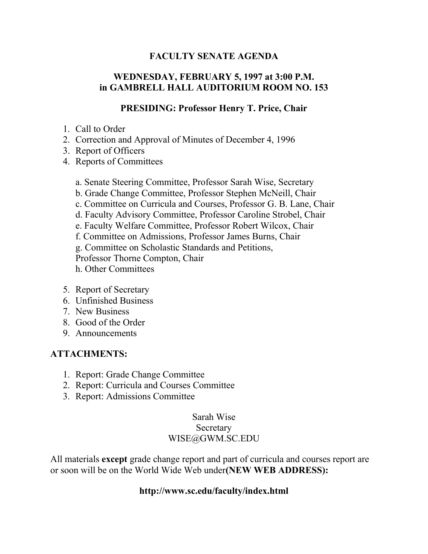### **FACULTY SENATE AGENDA**

## **WEDNESDAY, FEBRUARY 5, 1997 at 3:00 P.M. in GAMBRELL HALL AUDITORIUM ROOM NO. 153**

#### **PRESIDING: Professor Henry T. Price, Chair**

- 1. Call to Order
- 2. Correction and Approval of Minutes of December 4, 1996
- 3. Report of Officers
- 4. Reports of Committees
	- a. Senate Steering Committee, Professor Sarah Wise, Secretary
	- b. Grade Change Committee, Professor Stephen McNeill, Chair
	- c. Committee on Curricula and Courses, Professor G. B. Lane, Chair
	- d. Faculty Advisory Committee, Professor Caroline Strobel, Chair
	- e. Faculty Welfare Committee, Professor Robert Wilcox, Chair
	- f. Committee on Admissions, Professor James Burns, Chair
	- g. Committee on Scholastic Standards and Petitions,

Professor Thorne Compton, Chair

- h. Other Committees
- 5. Report of Secretary
- 6. Unfinished Business
- 7. New Business
- 8. Good of the Order
- 9. Announcements

### **ATTACHMENTS:**

- 1. Report: Grade Change Committee
- 2. Report: Curricula and Courses Committee
- 3. Report: Admissions Committee

# Sarah Wise Secretary WISE@GWM.SC.EDU

All materials **except** grade change report and part of curricula and courses report are or soon will be on the World Wide Web under**(NEW WEB ADDRESS):**

#### **http://www.sc.edu/faculty/index.html**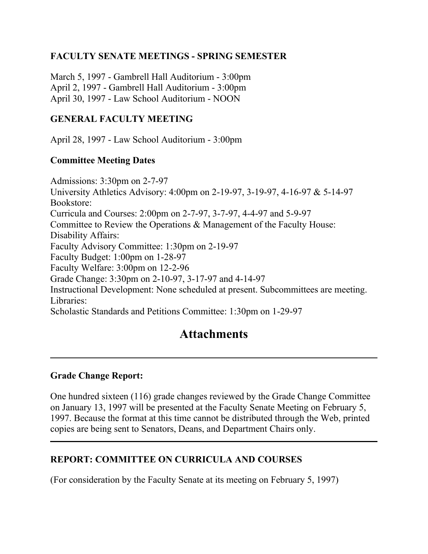# **FACULTY SENATE MEETINGS - SPRING SEMESTER**

March 5, 1997 - Gambrell Hall Auditorium - 3:00pm April 2, 1997 - Gambrell Hall Auditorium - 3:00pm April 30, 1997 - Law School Auditorium - NOON

#### **GENERAL FACULTY MEETING**

April 28, 1997 - Law School Auditorium - 3:00pm

#### **Committee Meeting Dates**

Admissions: 3:30pm on 2-7-97 University Athletics Advisory: 4:00pm on 2-19-97, 3-19-97, 4-16-97 & 5-14-97 Bookstore: Curricula and Courses: 2:00pm on 2-7-97, 3-7-97, 4-4-97 and 5-9-97 Committee to Review the Operations & Management of the Faculty House: Disability Affairs: Faculty Advisory Committee: 1:30pm on 2-19-97 Faculty Budget: 1:00pm on 1-28-97 Faculty Welfare: 3:00pm on 12-2-96 Grade Change: 3:30pm on 2-10-97, 3-17-97 and 4-14-97 Instructional Development: None scheduled at present. Subcommittees are meeting. Libraries: Scholastic Standards and Petitions Committee: 1:30pm on 1-29-97

# **Attachments**

#### **Grade Change Report:**

One hundred sixteen (116) grade changes reviewed by the Grade Change Committee on January 13, 1997 will be presented at the Faculty Senate Meeting on February 5, 1997. Because the format at this time cannot be distributed through the Web, printed copies are being sent to Senators, Deans, and Department Chairs only.

### **REPORT: COMMITTEE ON CURRICULA AND COURSES**

(For consideration by the Faculty Senate at its meeting on February 5, 1997)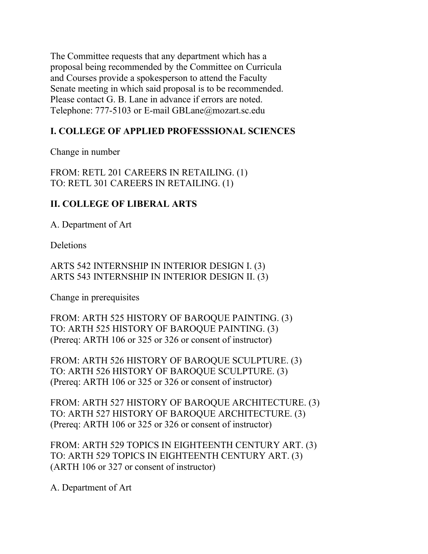The Committee requests that any department which has a proposal being recommended by the Committee on Curricula and Courses provide a spokesperson to attend the Faculty Senate meeting in which said proposal is to be recommended. Please contact G. B. Lane in advance if errors are noted. Telephone: 777-5103 or E-mail GBLane@mozart.sc.edu

# **I. COLLEGE OF APPLIED PROFESSSIONAL SCIENCES**

Change in number

FROM: RETL 201 CAREERS IN RETAILING. (1) TO: RETL 301 CAREERS IN RETAILING. (1)

# **II. COLLEGE OF LIBERAL ARTS**

A. Department of Art

**Deletions** 

ARTS 542 INTERNSHIP IN INTERIOR DESIGN I. (3) ARTS 543 INTERNSHIP IN INTERIOR DESIGN II. (3)

Change in prerequisites

FROM: ARTH 525 HISTORY OF BAROQUE PAINTING. (3) TO: ARTH 525 HISTORY OF BAROQUE PAINTING. (3) (Prereq: ARTH 106 or 325 or 326 or consent of instructor)

FROM: ARTH 526 HISTORY OF BAROQUE SCULPTURE. (3) TO: ARTH 526 HISTORY OF BAROQUE SCULPTURE. (3) (Prereq: ARTH 106 or 325 or 326 or consent of instructor)

FROM: ARTH 527 HISTORY OF BAROQUE ARCHITECTURE. (3) TO: ARTH 527 HISTORY OF BAROQUE ARCHITECTURE. (3) (Prereq: ARTH 106 or 325 or 326 or consent of instructor)

FROM: ARTH 529 TOPICS IN EIGHTEENTH CENTURY ART. (3) TO: ARTH 529 TOPICS IN EIGHTEENTH CENTURY ART. (3) (ARTH 106 or 327 or consent of instructor)

A. Department of Art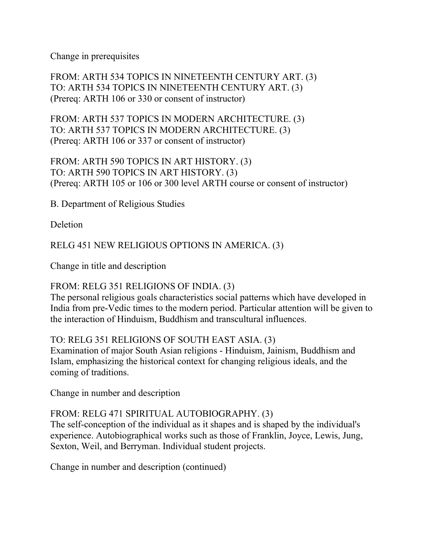Change in prerequisites

FROM: ARTH 534 TOPICS IN NINETEENTH CENTURY ART. (3) TO: ARTH 534 TOPICS IN NINETEENTH CENTURY ART. (3) (Prereq: ARTH 106 or 330 or consent of instructor)

FROM: ARTH 537 TOPICS IN MODERN ARCHITECTURE. (3) TO: ARTH 537 TOPICS IN MODERN ARCHITECTURE. (3) (Prereq: ARTH 106 or 337 or consent of instructor)

FROM: ARTH 590 TOPICS IN ART HISTORY. (3) TO: ARTH 590 TOPICS IN ART HISTORY. (3) (Prereq: ARTH 105 or 106 or 300 level ARTH course or consent of instructor)

B. Department of Religious Studies

**Deletion** 

RELG 451 NEW RELIGIOUS OPTIONS IN AMERICA. (3)

Change in title and description

#### FROM: RELG 351 RELIGIONS OF INDIA. (3)

The personal religious goals characteristics social patterns which have developed in India from pre-Vedic times to the modern period. Particular attention will be given to the interaction of Hinduism, Buddhism and transcultural influences.

#### TO: RELG 351 RELIGIONS OF SOUTH EAST ASIA. (3)

Examination of major South Asian religions - Hinduism, Jainism, Buddhism and Islam, emphasizing the historical context for changing religious ideals, and the coming of traditions.

Change in number and description

#### FROM: RELG 471 SPIRITUAL AUTOBIOGRAPHY. (3)

The self-conception of the individual as it shapes and is shaped by the individual's experience. Autobiographical works such as those of Franklin, Joyce, Lewis, Jung, Sexton, Weil, and Berryman. Individual student projects.

Change in number and description (continued)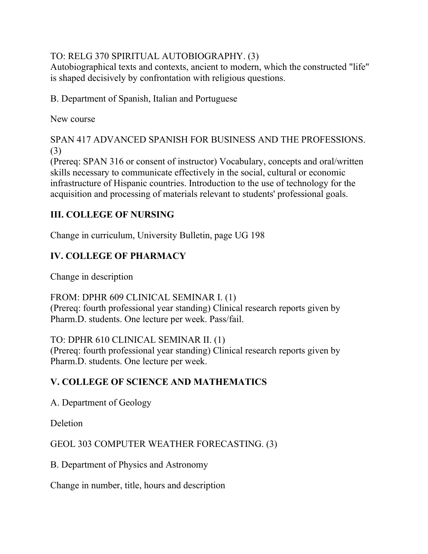# TO: RELG 370 SPIRITUAL AUTOBIOGRAPHY. (3)

Autobiographical texts and contexts, ancient to modern, which the constructed "life" is shaped decisively by confrontation with religious questions.

B. Department of Spanish, Italian and Portuguese

New course

SPAN 417 ADVANCED SPANISH FOR BUSINESS AND THE PROFESSIONS. (3)

(Prereq: SPAN 316 or consent of instructor) Vocabulary, concepts and oral/written skills necessary to communicate effectively in the social, cultural or economic infrastructure of Hispanic countries. Introduction to the use of technology for the acquisition and processing of materials relevant to students' professional goals.

# **III. COLLEGE OF NURSING**

Change in curriculum, University Bulletin, page UG 198

# **IV. COLLEGE OF PHARMACY**

Change in description

FROM: DPHR 609 CLINICAL SEMINAR I. (1) (Prereq: fourth professional year standing) Clinical research reports given by Pharm.D. students. One lecture per week. Pass/fail.

TO: DPHR 610 CLINICAL SEMINAR II. (1)

(Prereq: fourth professional year standing) Clinical research reports given by Pharm.D. students. One lecture per week.

# **V. COLLEGE OF SCIENCE AND MATHEMATICS**

A. Department of Geology

**Deletion** 

GEOL 303 COMPUTER WEATHER FORECASTING. (3)

B. Department of Physics and Astronomy

Change in number, title, hours and description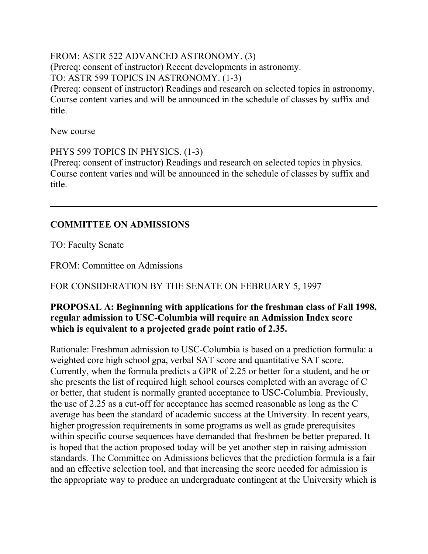#### FROM: ASTR 522 ADVANCED ASTRONOMY. (3) (Prereq: consent of instructor) Recent developments in astronomy. TO: ASTR 599 TOPICS IN ASTRONOMY. (1-3)

(Prereq: consent of instructor) Readings and research on selected topics in astronomy. Course content varies and will be announced in the schedule of classes by suffix and title.

New course

PHYS 599 TOPICS IN PHYSICS. (1-3)

(Prereq: consent of instructor) Readings and research on selected topics in physics. Course content varies and will be announced in the schedule of classes by suffix and title.

# **COMMITTEE ON ADMISSIONS**

TO: Faculty Senate

FROM: Committee on Admissions

FOR CONSIDERATION BY THE SENATE ON FEBRUARY 5, 1997

### **PROPOSAL A: Beginnning with applications for the freshman class of Fall 1998, regular admission to USC-Columbia will require an Admission Index score which is equivalent to a projected grade point ratio of 2.35.**

Rationale: Freshman admission to USC-Columbia is based on a prediction formula: a weighted core high school gpa, verbal SAT score and quantitative SAT score. Currently, when the formula predicts a GPR of 2.25 or better for a student, and he or she presents the list of required high school courses completed with an average of C or better, that student is normally granted acceptance to USC-Columbia. Previously, the use of 2.25 as a cut-off for acceptance has seemed reasonable as long as the C average has been the standard of academic success at the University. In recent years, higher progression requirements in some programs as well as grade prerequisites within specific course sequences have demanded that freshmen be better prepared. It is hoped that the action proposed today will be yet another step in raising admission standards. The Committee on Admissions believes that the prediction formula is a fair and an effective selection tool, and that increasing the score needed for admission is the appropriate way to produce an undergraduate contingent at the University which is